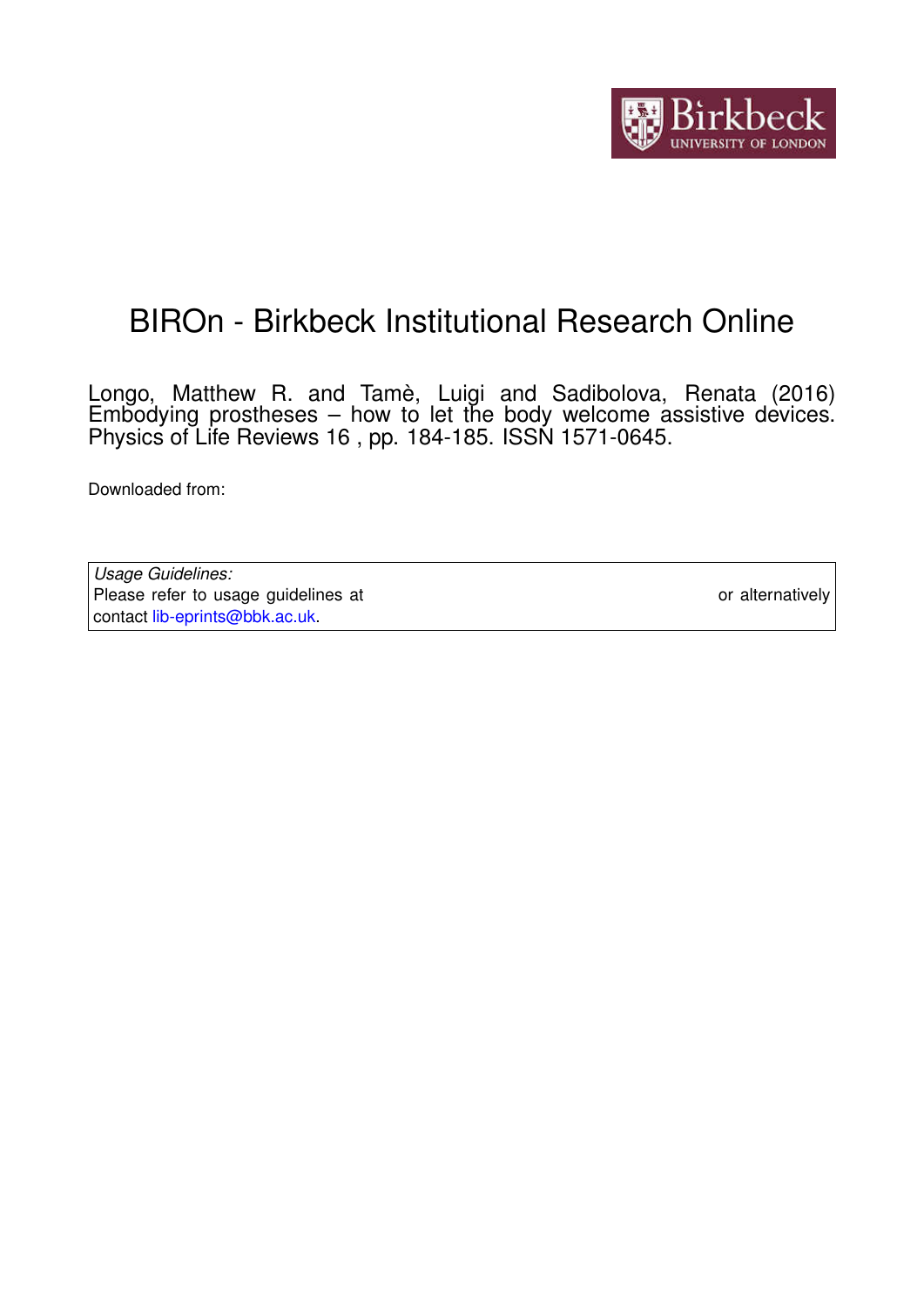

## BIROn - Birkbeck Institutional Research Online

Longo, Matthew R. and Tamè, Luigi and Sadibolova, Renata (2016) Embodying prostheses – how to let the body welcome assistive devices. Physics of Life Reviews 16 , pp. 184-185. ISSN 1571-0645.

Downloaded from: <https://eprints.bbk.ac.uk/id/eprint/14069/>

*Usage Guidelines:* Please refer to usage guidelines at <https://eprints.bbk.ac.uk/policies.html> or alternatively contact [lib-eprints@bbk.ac.uk.](mailto:lib-eprints@bbk.ac.uk)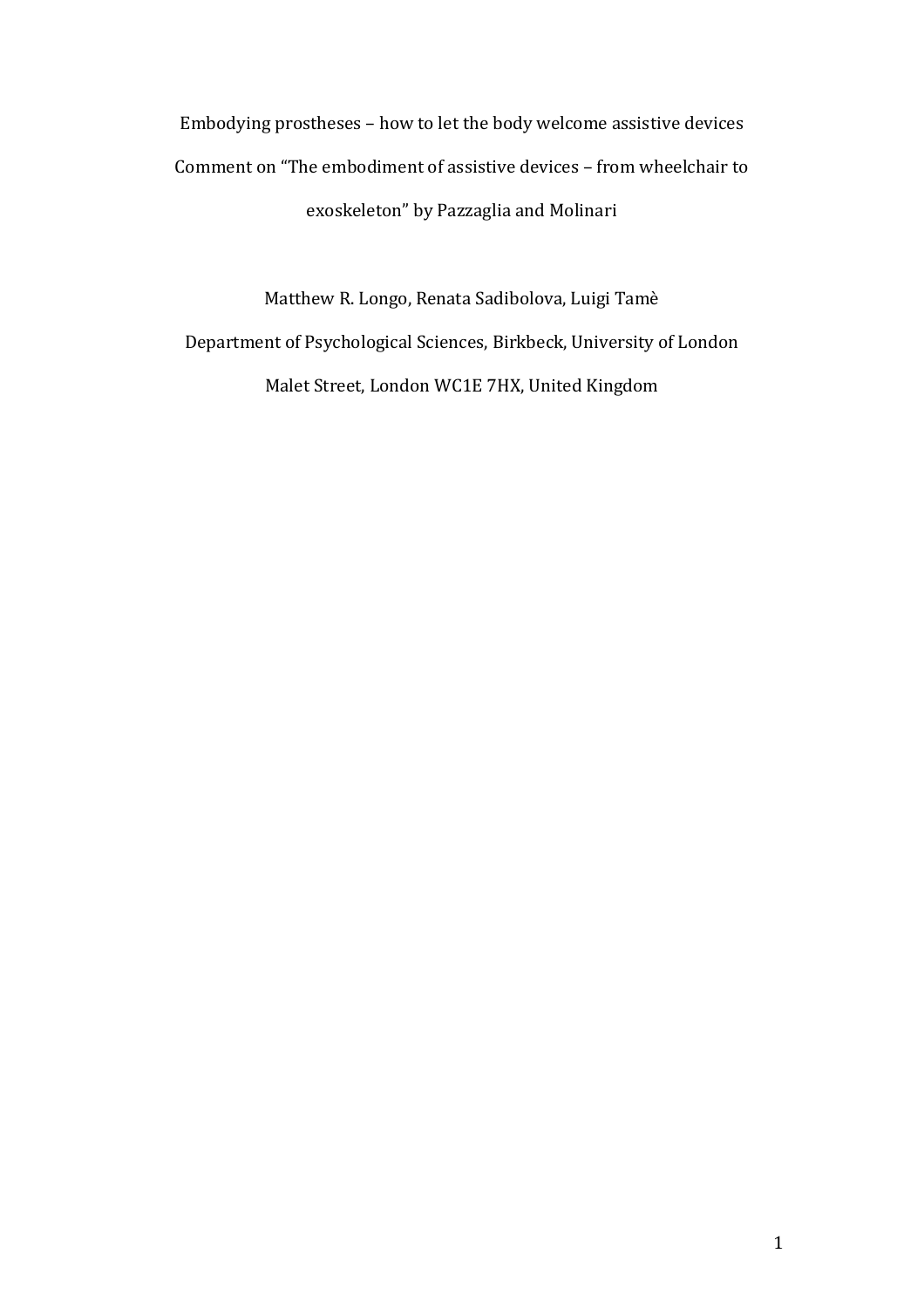Embodying prostheses – how to let the body welcome assistive devices Comment on "The embodiment of assistive devices – from wheelchair to exoskeleton" by Pazzaglia and Molinari

Matthew R. Longo, Renata Sadibolova, Luigi Tamè Department of Psychological Sciences, Birkbeck, University of London Malet Street, London WC1E 7HX, United Kingdom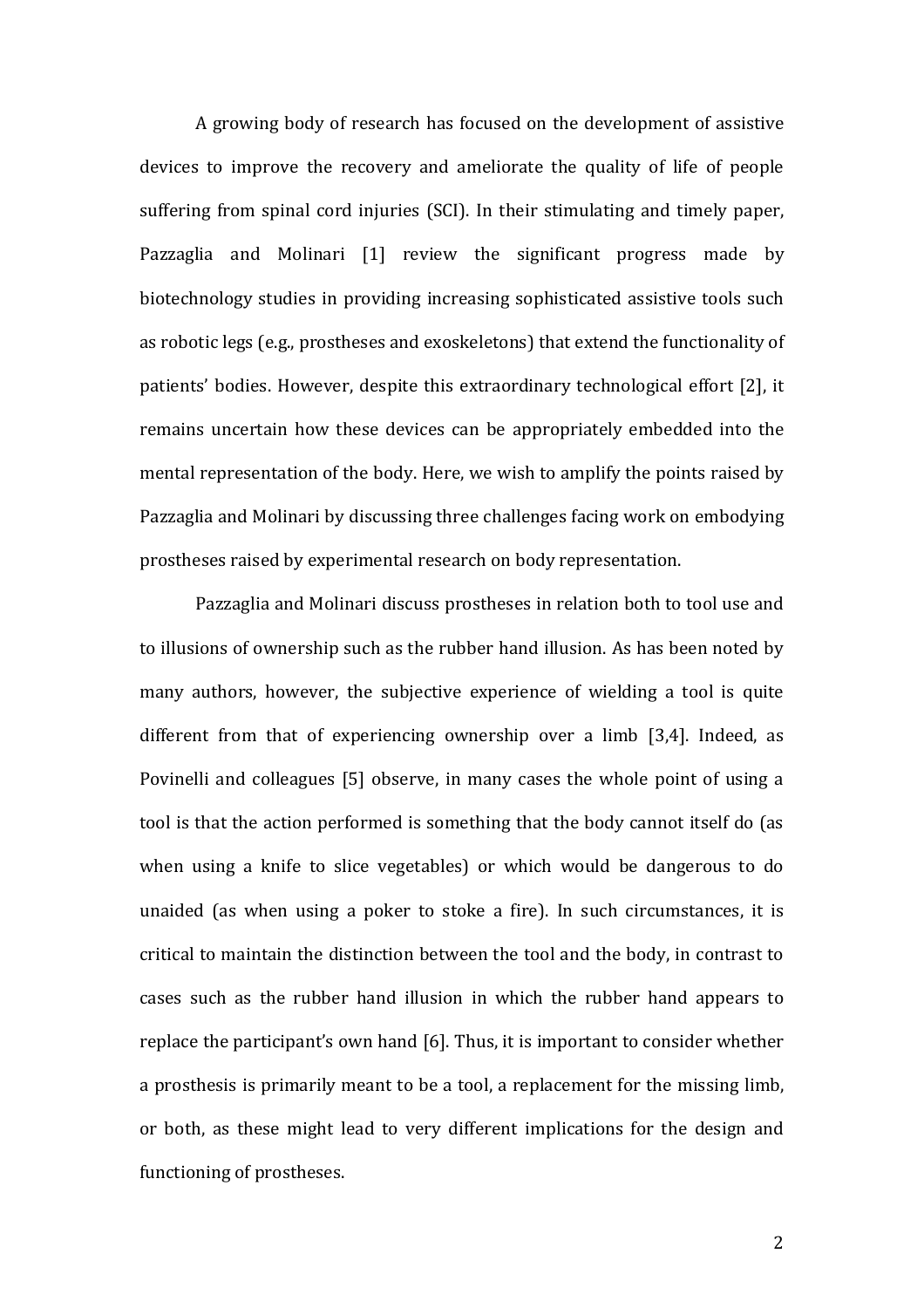A growing body of research has focused on the development of assistive devices to improve the recovery and ameliorate the quality of life of people suffering from spinal cord injuries (SCI). In their stimulating and timely paper, Pazzaglia and Molinari [1] review the significant progress made by biotechnology studies in providing increasing sophisticated assistive tools such as robotic legs (e.g., prostheses and exoskeletons) that extend the functionality of patients' bodies. However, despite this extraordinary technological effort [2], it remains uncertain how these devices can be appropriately embedded into the mental representation of the body. Here, we wish to amplify the points raised by Pazzaglia and Molinari by discussing three challenges facing work on embodying prostheses raised by experimental research on body representation.

Pazzaglia and Molinari discuss prostheses in relation both to tool use and to illusions of ownership such as the rubber hand illusion. As has been noted by many authors, however, the subjective experience of wielding a tool is quite different from that of experiencing ownership over a limb [3,4]. Indeed, as Povinelli and colleagues [5] observe, in many cases the whole point of using a tool is that the action performed is something that the body cannot itself do (as when using a knife to slice vegetables) or which would be dangerous to do unaided (as when using a poker to stoke a fire). In such circumstances, it is critical to maintain the distinction between the tool and the body, in contrast to cases such as the rubber hand illusion in which the rubber hand appears to replace the participant's own hand [6]. Thus, it is important to consider whether a prosthesis is primarily meant to be a tool, a replacement for the missing limb, or both, as these might lead to very different implications for the design and functioning of prostheses.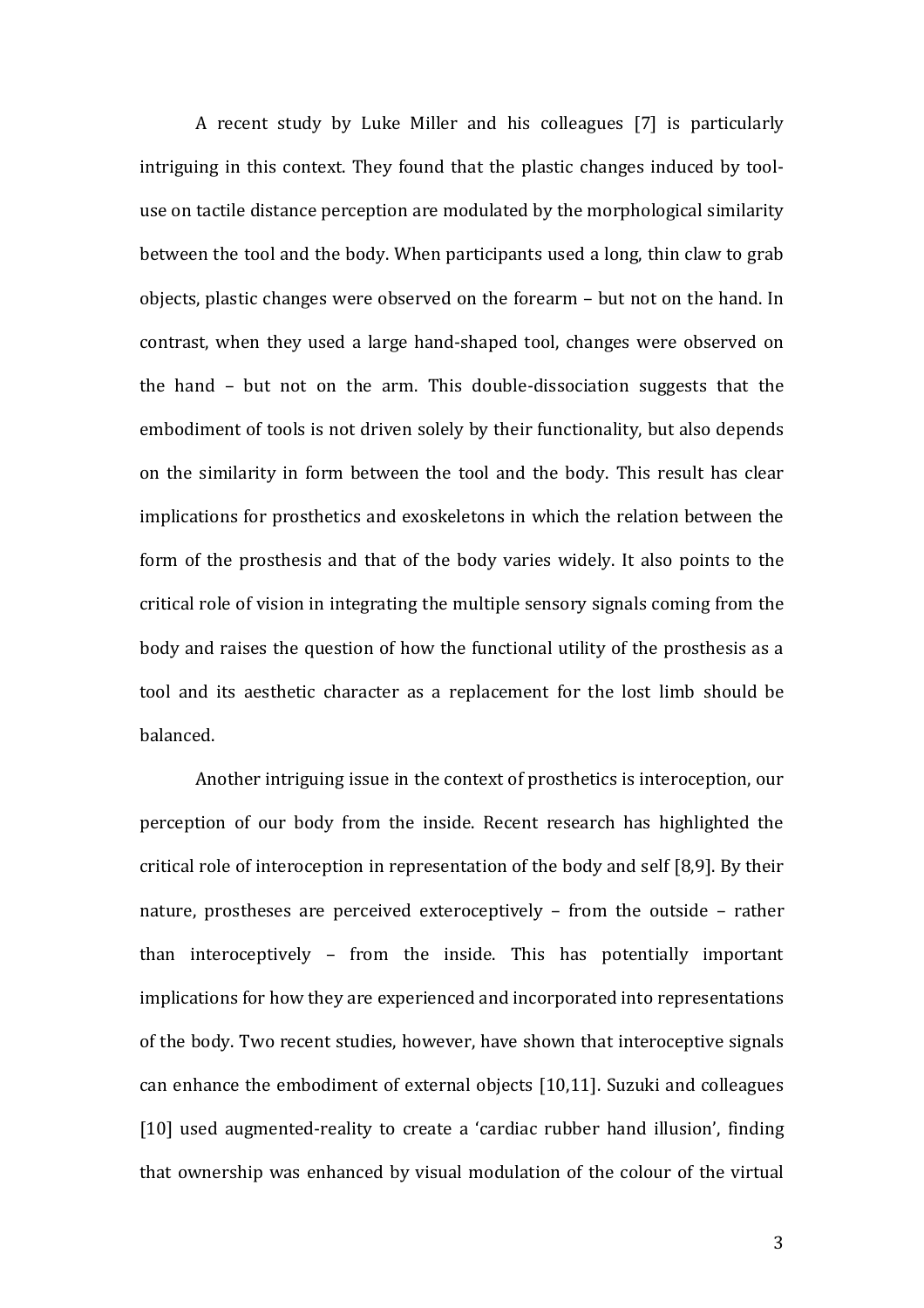A recent study by Luke Miller and his colleagues [7] is particularly intriguing in this context. They found that the plastic changes induced by tooluse on tactile distance perception are modulated by the morphological similarity between the tool and the body. When participants used a long, thin claw to grab objects, plastic changes were observed on the forearm – but not on the hand. In contrast, when they used a large hand-shaped tool, changes were observed on the hand – but not on the arm. This double-dissociation suggests that the embodiment of tools is not driven solely by their functionality, but also depends on the similarity in form between the tool and the body. This result has clear implications for prosthetics and exoskeletons in which the relation between the form of the prosthesis and that of the body varies widely. It also points to the critical role of vision in integrating the multiple sensory signals coming from the body and raises the question of how the functional utility of the prosthesis as a tool and its aesthetic character as a replacement for the lost limb should be balanced.

Another intriguing issue in the context of prosthetics is interoception, our perception of our body from the inside. Recent research has highlighted the critical role of interoception in representation of the body and self [8,9]. By their nature, prostheses are perceived exteroceptively – from the outside – rather than interoceptively – from the inside. This has potentially important implications for how they are experienced and incorporated into representations of the body. Two recent studies, however, have shown that interoceptive signals can enhance the embodiment of external objects [10,11]. Suzuki and colleagues [10] used augmented-reality to create a 'cardiac rubber hand illusion', finding that ownership was enhanced by visual modulation of the colour of the virtual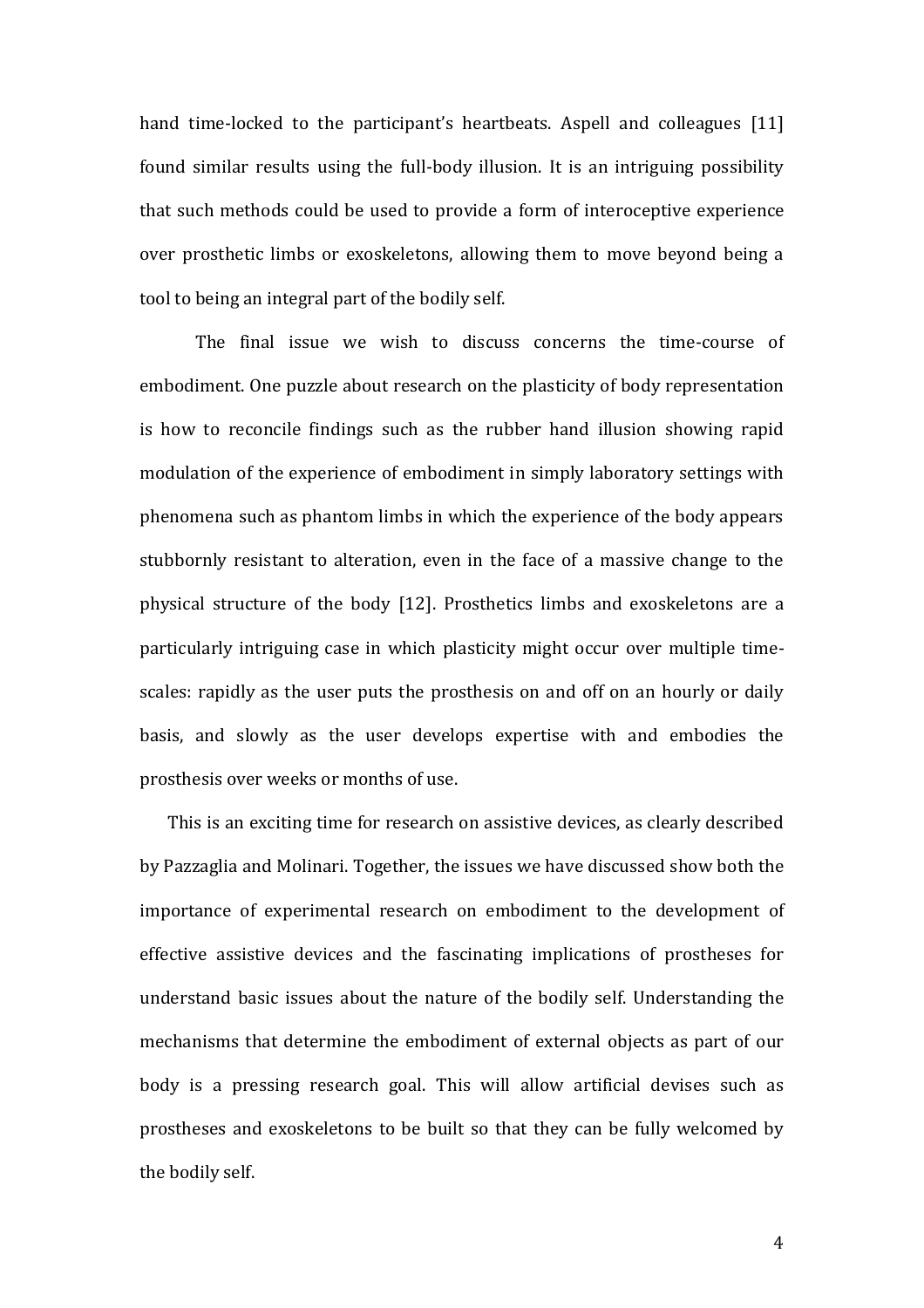hand time-locked to the participant's heartbeats. Aspell and colleagues [11] found similar results using the full-body illusion. It is an intriguing possibility that such methods could be used to provide a form of interoceptive experience over prosthetic limbs or exoskeletons, allowing them to move beyond being a tool to being an integral part of the bodily self.

The final issue we wish to discuss concerns the time-course of embodiment. One puzzle about research on the plasticity of body representation is how to reconcile findings such as the rubber hand illusion showing rapid modulation of the experience of embodiment in simply laboratory settings with phenomena such as phantom limbs in which the experience of the body appears stubbornly resistant to alteration, even in the face of a massive change to the physical structure of the body [12]. Prosthetics limbs and exoskeletons are a particularly intriguing case in which plasticity might occur over multiple timescales: rapidly as the user puts the prosthesis on and off on an hourly or daily basis, and slowly as the user develops expertise with and embodies the prosthesis over weeks or months of use.

This is an exciting time for research on assistive devices, as clearly described by Pazzaglia and Molinari. Together, the issues we have discussed show both the importance of experimental research on embodiment to the development of effective assistive devices and the fascinating implications of prostheses for understand basic issues about the nature of the bodily self. Understanding the mechanisms that determine the embodiment of external objects as part of our body is a pressing research goal. This will allow artificial devises such as prostheses and exoskeletons to be built so that they can be fully welcomed by the bodily self.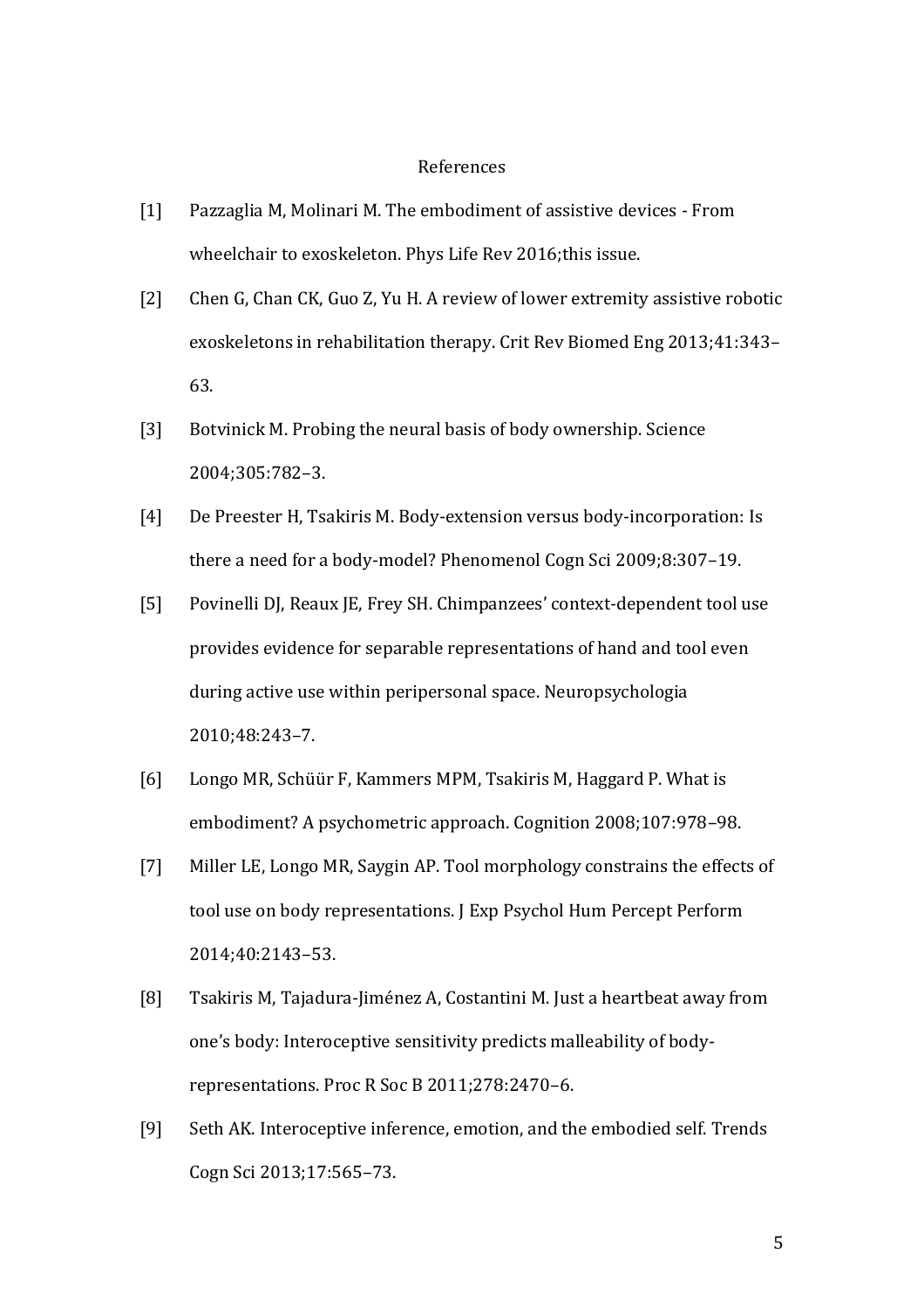## References

- [1] Pazzaglia M, Molinari M. The embodiment of assistive devices From wheelchair to exoskeleton. Phys Life Rev 2016;this issue.
- [2] Chen G, Chan CK, Guo Z, Yu H. A review of lower extremity assistive robotic exoskeletons in rehabilitation therapy. Crit Rev Biomed Eng 2013;41:343– 63.
- [3] Botvinick M. Probing the neural basis of body ownership. Science 2004;305:782–3.
- [4] De Preester H, Tsakiris M. Body-extension versus body-incorporation: Is there a need for a body-model? Phenomenol Cogn Sci 2009;8:307–19.
- [5] Povinelli DJ, Reaux JE, Frey SH. Chimpanzees' context-dependent tool use provides evidence for separable representations of hand and tool even during active use within peripersonal space. Neuropsychologia 2010;48:243–7.
- [6] Longo MR, Schüür F, Kammers MPM, Tsakiris M, Haggard P. What is embodiment? A psychometric approach. Cognition 2008;107:978–98.
- [7] Miller LE, Longo MR, Saygin AP. Tool morphology constrains the effects of tool use on body representations. J Exp Psychol Hum Percept Perform 2014;40:2143–53.
- [8] Tsakiris M, Tajadura-Jiménez A, Costantini M. Just a heartbeat away from one's body: Interoceptive sensitivity predicts malleability of bodyrepresentations. Proc R Soc B 2011;278:2470–6.
- [9] Seth AK. Interoceptive inference, emotion, and the embodied self. Trends Cogn Sci 2013;17:565–73.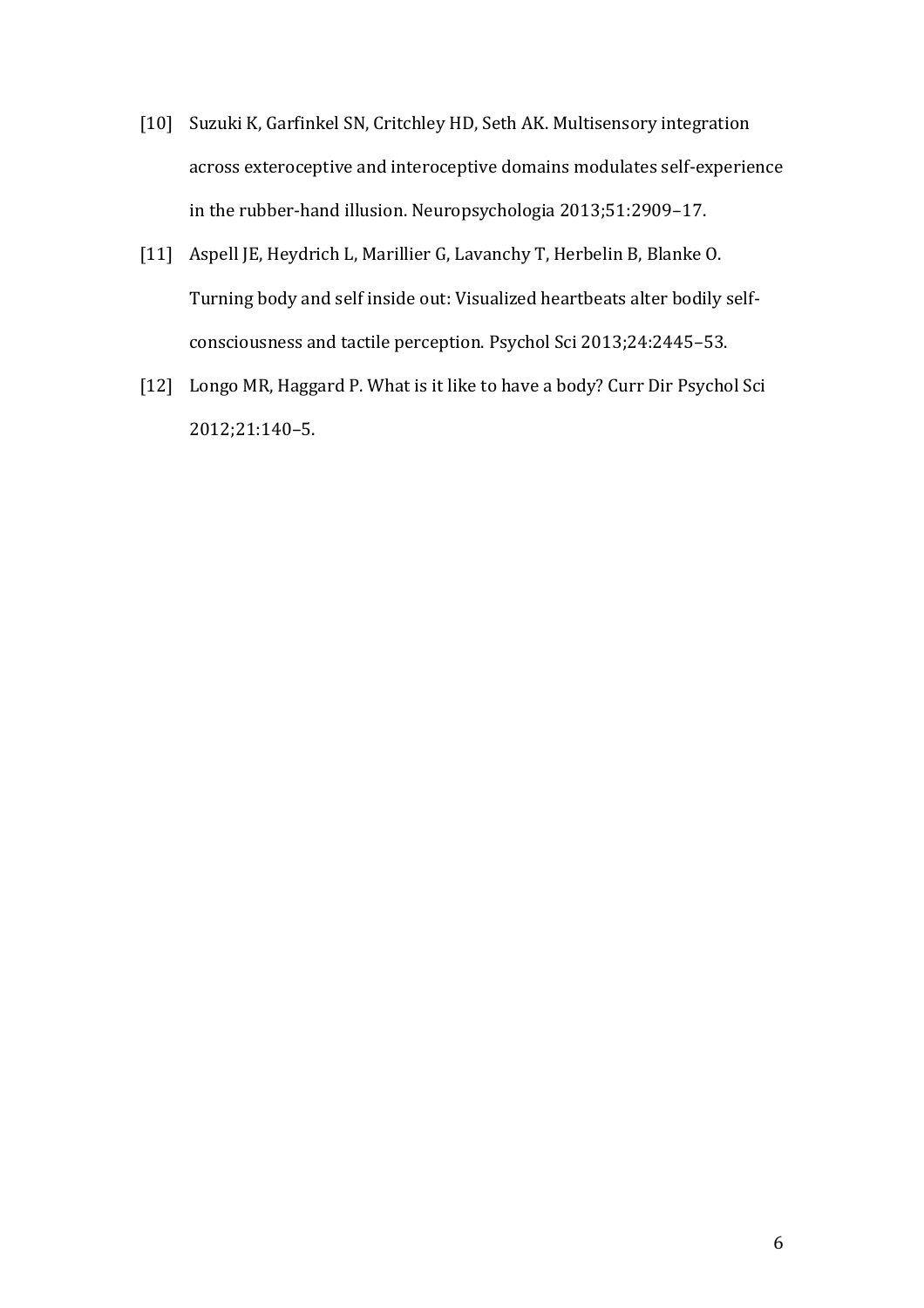- [10] Suzuki K, Garfinkel SN, Critchley HD, Seth AK. Multisensory integration across exteroceptive and interoceptive domains modulates self-experience in the rubber-hand illusion. Neuropsychologia 2013;51:2909–17.
- [11] Aspell JE, Heydrich L, Marillier G, Lavanchy T, Herbelin B, Blanke O. Turning body and self inside out: Visualized heartbeats alter bodily selfconsciousness and tactile perception. Psychol Sci 2013;24:2445–53.
- [12] Longo MR, Haggard P. What is it like to have a body? Curr Dir Psychol Sci 2012;21:140–5.